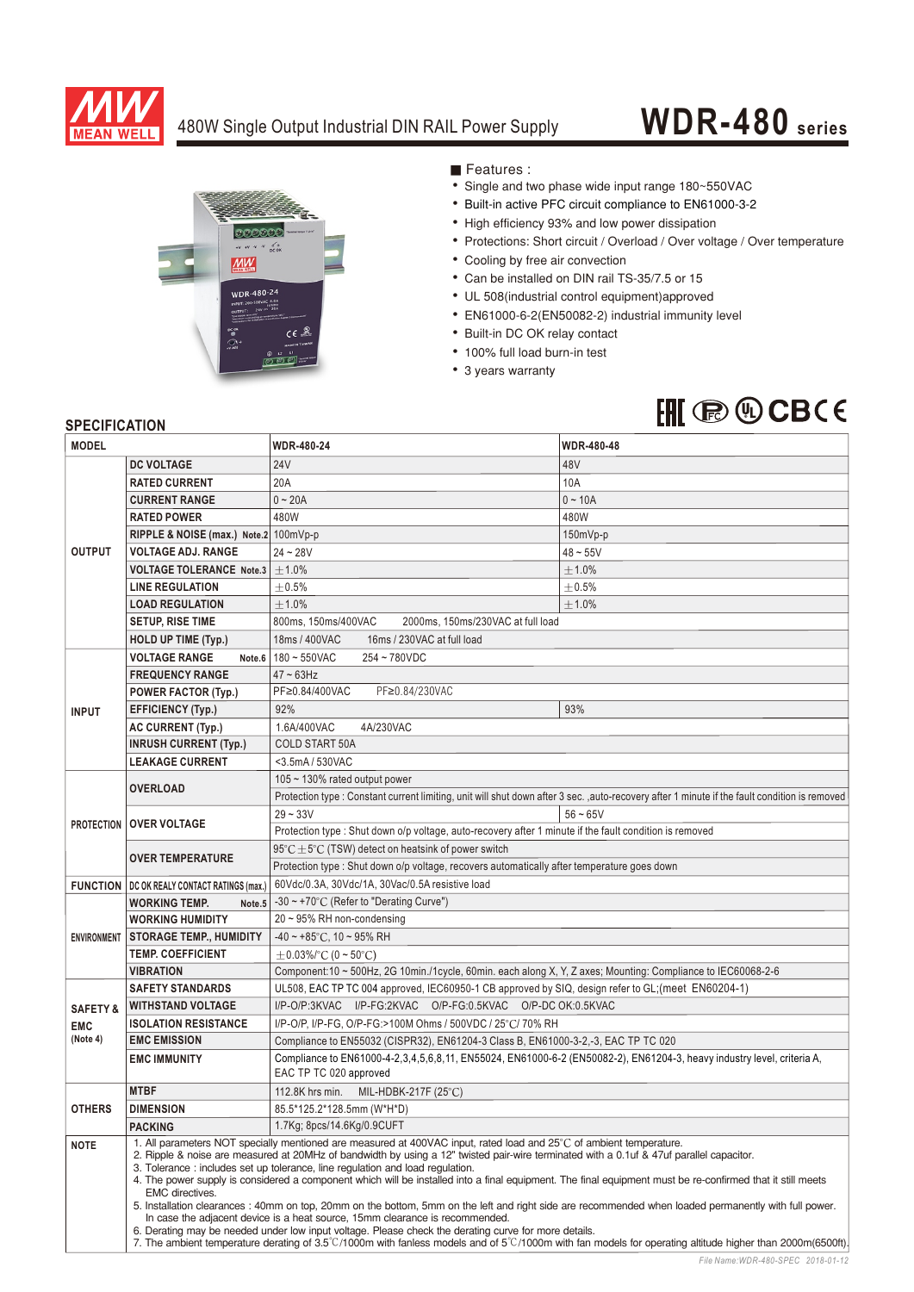

### 480W Single Output Industrial DIN RAIL Power Supply

# **WDR-480 series**



Features :

- Single and two phase wide input range 180~550VAC
- Built-in active PFC circuit compliance to EN61000-3-2
- High efficiency 93% and low power dissipation
- Protections: Short circuit / Overload / Over voltage / Over temperature
- Cooling by free air convection
- Can be installed on DIN rail TS-35/7.5 or 15
- UL 508(industrial control equipment)approved
- EN61000-6-2(EN50082-2) industrial immunity level
- Built-in DC OK relay contact
- 100% full load burn-in test
- 3 years warranty

## $HH$   $\circledR$   $\circledR$  CBCE

#### **SPECIFICATION**

| <b>MODEL</b>         |                                                                                                                                                                                                                                                                                                                                                                                                                                                                                                                                                                                                                                                                                                                                                                                                                                                                                                                                                                                                                                                | <b>WDR-480-24</b>                                                                                                                                | <b>WDR-480-48</b> |
|----------------------|------------------------------------------------------------------------------------------------------------------------------------------------------------------------------------------------------------------------------------------------------------------------------------------------------------------------------------------------------------------------------------------------------------------------------------------------------------------------------------------------------------------------------------------------------------------------------------------------------------------------------------------------------------------------------------------------------------------------------------------------------------------------------------------------------------------------------------------------------------------------------------------------------------------------------------------------------------------------------------------------------------------------------------------------|--------------------------------------------------------------------------------------------------------------------------------------------------|-------------------|
|                      | <b>DC VOLTAGE</b>                                                                                                                                                                                                                                                                                                                                                                                                                                                                                                                                                                                                                                                                                                                                                                                                                                                                                                                                                                                                                              | <b>24V</b>                                                                                                                                       | 48V               |
| <b>OUTPUT</b>        | <b>RATED CURRENT</b>                                                                                                                                                                                                                                                                                                                                                                                                                                                                                                                                                                                                                                                                                                                                                                                                                                                                                                                                                                                                                           | 20A                                                                                                                                              | 10A               |
|                      | <b>CURRENT RANGE</b>                                                                                                                                                                                                                                                                                                                                                                                                                                                                                                                                                                                                                                                                                                                                                                                                                                                                                                                                                                                                                           | $0 - 20A$                                                                                                                                        | $0 - 10A$         |
|                      | <b>RATED POWER</b>                                                                                                                                                                                                                                                                                                                                                                                                                                                                                                                                                                                                                                                                                                                                                                                                                                                                                                                                                                                                                             | 480W                                                                                                                                             | 480W              |
|                      | RIPPLE & NOISE (max.) Note.2 100mVp-p                                                                                                                                                                                                                                                                                                                                                                                                                                                                                                                                                                                                                                                                                                                                                                                                                                                                                                                                                                                                          |                                                                                                                                                  | 150mVp-p          |
|                      | <b>VOLTAGE ADJ. RANGE</b>                                                                                                                                                                                                                                                                                                                                                                                                                                                                                                                                                                                                                                                                                                                                                                                                                                                                                                                                                                                                                      | $24 - 28V$                                                                                                                                       | $48 - 55V$        |
|                      | VOLTAGE TOLERANCE Note.3                                                                                                                                                                                                                                                                                                                                                                                                                                                                                                                                                                                                                                                                                                                                                                                                                                                                                                                                                                                                                       | $\pm 1.0\%$                                                                                                                                      | $\pm$ 1.0%        |
|                      | <b>LINE REGULATION</b>                                                                                                                                                                                                                                                                                                                                                                                                                                                                                                                                                                                                                                                                                                                                                                                                                                                                                                                                                                                                                         | $\pm$ 0.5%                                                                                                                                       | $\pm$ 0.5%        |
|                      | <b>LOAD REGULATION</b>                                                                                                                                                                                                                                                                                                                                                                                                                                                                                                                                                                                                                                                                                                                                                                                                                                                                                                                                                                                                                         | ±1.0%                                                                                                                                            | $\pm$ 1.0%        |
|                      | <b>SETUP, RISE TIME</b>                                                                                                                                                                                                                                                                                                                                                                                                                                                                                                                                                                                                                                                                                                                                                                                                                                                                                                                                                                                                                        | 800ms, 150ms/400VAC<br>2000ms, 150ms/230VAC at full load                                                                                         |                   |
|                      | <b>HOLD UP TIME (Typ.)</b>                                                                                                                                                                                                                                                                                                                                                                                                                                                                                                                                                                                                                                                                                                                                                                                                                                                                                                                                                                                                                     | 18ms / 400VAC<br>16ms / 230VAC at full load                                                                                                      |                   |
| <b>VOLTAGE RANGE</b> |                                                                                                                                                                                                                                                                                                                                                                                                                                                                                                                                                                                                                                                                                                                                                                                                                                                                                                                                                                                                                                                | Note.6   180 ~ 550VAC<br>254~780VDC                                                                                                              |                   |
| <b>INPUT</b>         | <b>FREQUENCY RANGE</b>                                                                                                                                                                                                                                                                                                                                                                                                                                                                                                                                                                                                                                                                                                                                                                                                                                                                                                                                                                                                                         | $47 \sim 63$ Hz                                                                                                                                  |                   |
|                      | <b>POWER FACTOR (Typ.)</b>                                                                                                                                                                                                                                                                                                                                                                                                                                                                                                                                                                                                                                                                                                                                                                                                                                                                                                                                                                                                                     | PF≥0.84/230VAC<br>PF≥0.84/400VAC                                                                                                                 |                   |
|                      | <b>EFFICIENCY (Typ.)</b>                                                                                                                                                                                                                                                                                                                                                                                                                                                                                                                                                                                                                                                                                                                                                                                                                                                                                                                                                                                                                       | 92%                                                                                                                                              | 93%               |
|                      | <b>AC CURRENT (Typ.)</b>                                                                                                                                                                                                                                                                                                                                                                                                                                                                                                                                                                                                                                                                                                                                                                                                                                                                                                                                                                                                                       | 1.6A/400VAC<br>4A/230VAC                                                                                                                         |                   |
|                      | <b>INRUSH CURRENT (Typ.)</b>                                                                                                                                                                                                                                                                                                                                                                                                                                                                                                                                                                                                                                                                                                                                                                                                                                                                                                                                                                                                                   | <b>COLD START 50A</b>                                                                                                                            |                   |
|                      | <b>LEAKAGE CURRENT</b>                                                                                                                                                                                                                                                                                                                                                                                                                                                                                                                                                                                                                                                                                                                                                                                                                                                                                                                                                                                                                         | <3.5mA / 530VAC                                                                                                                                  |                   |
|                      | <b>OVERLOAD</b>                                                                                                                                                                                                                                                                                                                                                                                                                                                                                                                                                                                                                                                                                                                                                                                                                                                                                                                                                                                                                                | 105 $\sim$ 130% rated output power                                                                                                               |                   |
|                      |                                                                                                                                                                                                                                                                                                                                                                                                                                                                                                                                                                                                                                                                                                                                                                                                                                                                                                                                                                                                                                                | Protection type : Constant current limiting, unit will shut down after 3 sec., auto-recovery after 1 minute if the fault condition is removed    |                   |
|                      | <b>PROTECTION OVER VOLTAGE</b>                                                                                                                                                                                                                                                                                                                                                                                                                                                                                                                                                                                                                                                                                                                                                                                                                                                                                                                                                                                                                 | $29 - 33V$                                                                                                                                       | $56 - 65V$        |
|                      |                                                                                                                                                                                                                                                                                                                                                                                                                                                                                                                                                                                                                                                                                                                                                                                                                                                                                                                                                                                                                                                | Protection type : Shut down o/p voltage, auto-recovery after 1 minute if the fault condition is removed                                          |                   |
|                      | <b>OVER TEMPERATURE</b>                                                                                                                                                                                                                                                                                                                                                                                                                                                                                                                                                                                                                                                                                                                                                                                                                                                                                                                                                                                                                        | $95^{\circ}$ C $\pm$ 5°C (TSW) detect on heatsink of power switch                                                                                |                   |
|                      |                                                                                                                                                                                                                                                                                                                                                                                                                                                                                                                                                                                                                                                                                                                                                                                                                                                                                                                                                                                                                                                | Protection type : Shut down o/p voltage, recovers automatically after temperature goes down                                                      |                   |
|                      | <b>FUNCTION   DC OK REALY CONTACT RATINGS (max.)</b>                                                                                                                                                                                                                                                                                                                                                                                                                                                                                                                                                                                                                                                                                                                                                                                                                                                                                                                                                                                           | 60Vdc/0.3A, 30Vdc/1A, 30Vac/0.5A resistive load                                                                                                  |                   |
|                      | <b>WORKING TEMP.</b><br>Note.5                                                                                                                                                                                                                                                                                                                                                                                                                                                                                                                                                                                                                                                                                                                                                                                                                                                                                                                                                                                                                 | -30 ~ +70°C (Refer to "Derating Curve")                                                                                                          |                   |
| <b>ENVIRONMENT</b>   | <b>WORKING HUMIDITY</b>                                                                                                                                                                                                                                                                                                                                                                                                                                                                                                                                                                                                                                                                                                                                                                                                                                                                                                                                                                                                                        | $20 \sim 95\%$ RH non-condensing                                                                                                                 |                   |
|                      | <b>STORAGE TEMP., HUMIDITY</b>                                                                                                                                                                                                                                                                                                                                                                                                                                                                                                                                                                                                                                                                                                                                                                                                                                                                                                                                                                                                                 | $-40 \sim +85$ °C, 10 ~ 95% RH                                                                                                                   |                   |
|                      | <b>TEMP. COEFFICIENT</b>                                                                                                                                                                                                                                                                                                                                                                                                                                                                                                                                                                                                                                                                                                                                                                                                                                                                                                                                                                                                                       | $\pm$ 0.03%/°C (0 ~ 50°C)                                                                                                                        |                   |
|                      | <b>VIBRATION</b>                                                                                                                                                                                                                                                                                                                                                                                                                                                                                                                                                                                                                                                                                                                                                                                                                                                                                                                                                                                                                               | Component:10 ~ 500Hz, 2G 10min./1cycle, 60min. each along X, Y, Z axes; Mounting: Compliance to IEC60068-2-6                                     |                   |
|                      | <b>SAFETY STANDARDS</b>                                                                                                                                                                                                                                                                                                                                                                                                                                                                                                                                                                                                                                                                                                                                                                                                                                                                                                                                                                                                                        | UL508, EAC TP TC 004 approved, IEC60950-1 CB approved by SIQ, design refer to GL; (meet EN60204-1)                                               |                   |
| <b>SAFETY &amp;</b>  | <b>WITHSTAND VOLTAGE</b>                                                                                                                                                                                                                                                                                                                                                                                                                                                                                                                                                                                                                                                                                                                                                                                                                                                                                                                                                                                                                       | I/P-O/P:3KVAC I/P-FG:2KVAC O/P-FG:0.5KVAC O/P-DCOK:0.5KVAC                                                                                       |                   |
| <b>EMC</b>           | <b>ISOLATION RESISTANCE</b>                                                                                                                                                                                                                                                                                                                                                                                                                                                                                                                                                                                                                                                                                                                                                                                                                                                                                                                                                                                                                    | I/P-O/P, I/P-FG, O/P-FG:>100M Ohms / 500VDC / 25°C/ 70% RH                                                                                       |                   |
| (Note 4)             | <b>EMC EMISSION</b>                                                                                                                                                                                                                                                                                                                                                                                                                                                                                                                                                                                                                                                                                                                                                                                                                                                                                                                                                                                                                            | Compliance to EN55032 (CISPR32), EN61204-3 Class B, EN61000-3-2,-3, EAC TP TC 020                                                                |                   |
|                      | <b>EMC IMMUNITY</b>                                                                                                                                                                                                                                                                                                                                                                                                                                                                                                                                                                                                                                                                                                                                                                                                                                                                                                                                                                                                                            | Compliance to EN61000-4-2,3,4,5,6,8,11, EN55024, EN61000-6-2 (EN50082-2), EN61204-3, heavy industry level, criteria A,<br>EAC TP TC 020 approved |                   |
|                      | <b>MTBF</b><br>112.8K hrs min. MIL-HDBK-217F (25°C)                                                                                                                                                                                                                                                                                                                                                                                                                                                                                                                                                                                                                                                                                                                                                                                                                                                                                                                                                                                            |                                                                                                                                                  |                   |
| <b>OTHERS</b>        | <b>DIMENSION</b>                                                                                                                                                                                                                                                                                                                                                                                                                                                                                                                                                                                                                                                                                                                                                                                                                                                                                                                                                                                                                               | 85.5*125.2*128.5mm (W*H*D)                                                                                                                       |                   |
|                      | <b>PACKING</b>                                                                                                                                                                                                                                                                                                                                                                                                                                                                                                                                                                                                                                                                                                                                                                                                                                                                                                                                                                                                                                 | 1.7Kg; 8pcs/14.6Kg/0.9CUFT                                                                                                                       |                   |
| <b>NOTE</b>          | 1. All parameters NOT specially mentioned are measured at 400VAC input, rated load and 25°C of ambient temperature.<br>2. Ripple & noise are measured at 20MHz of bandwidth by using a 12" twisted pair-wire terminated with a 0.1uf & 47uf parallel capacitor.<br>3. Tolerance: includes set up tolerance, line regulation and load regulation.<br>4. The power supply is considered a component which will be installed into a final equipment. The final equipment must be re-confirmed that it still meets<br>EMC directives.<br>5. Installation clearances: 40mm on top, 20mm on the bottom, 5mm on the left and right side are recommended when loaded permanently with full power.<br>In case the adjacent device is a heat source, 15mm clearance is recommended.<br>6. Derating may be needed under low input voltage. Please check the derating curve for more details.<br>7. The ambient temperature derating of 3.5°C/1000m with fanless models and of 5°C/1000m with fan models for operating altitude higher than 2000m(6500ft). |                                                                                                                                                  |                   |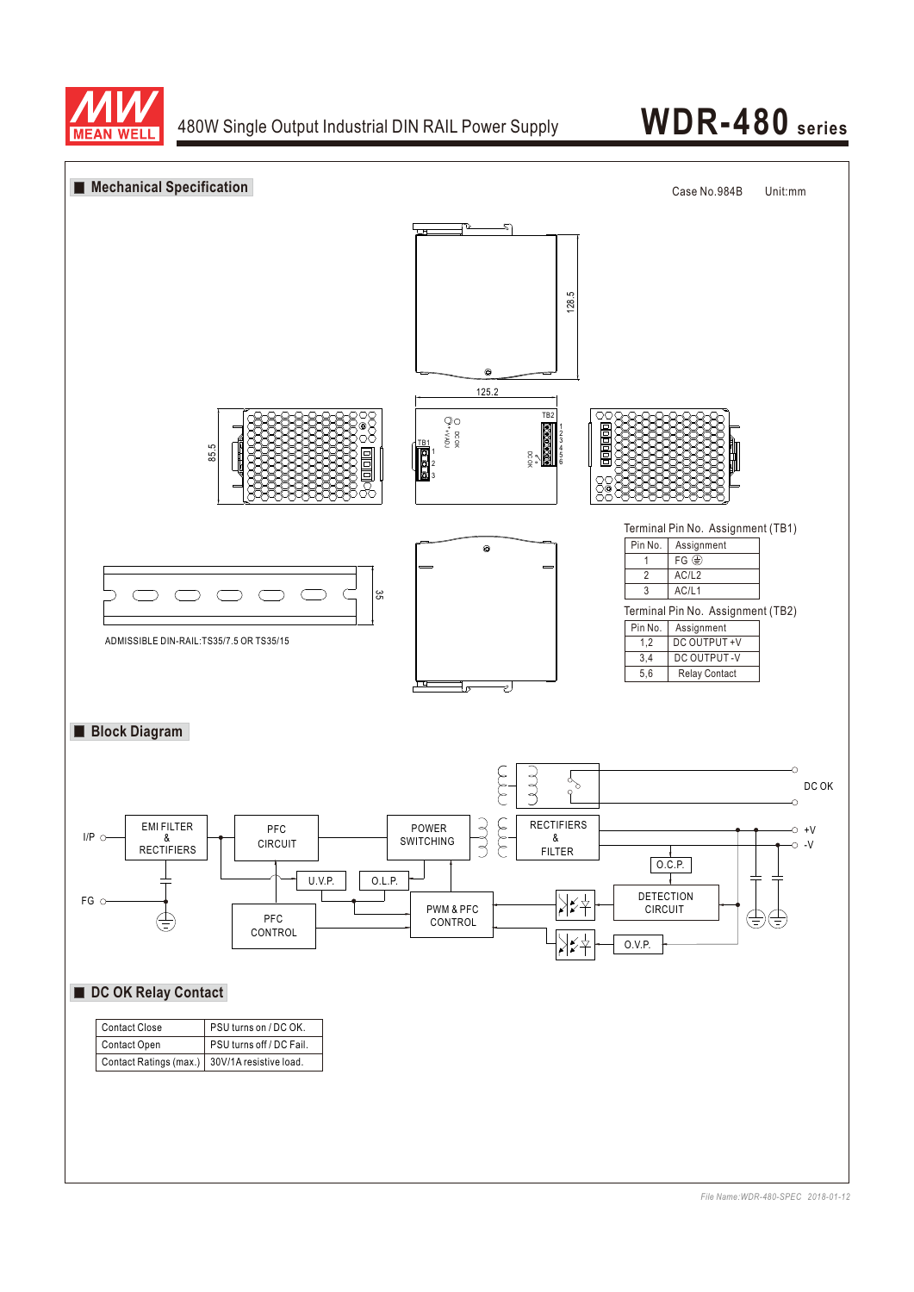